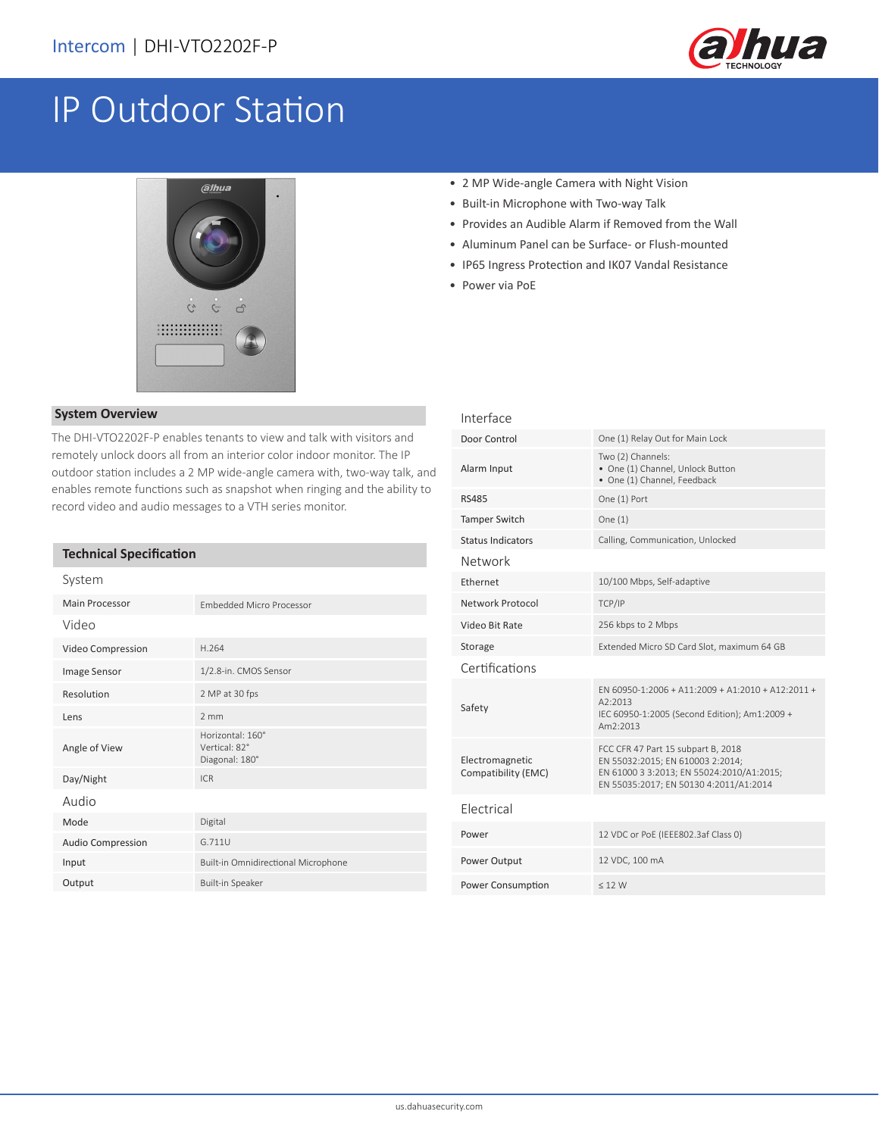

# IP Outdoor Station



### **System Overview**

The DHI-VTO2202F-P enables tenants to view and talk with visitors and remotely unlock doors all from an interior color indoor monitor. The IP outdoor station includes a 2 MP wide-angle camera with, two-way talk, and enables remote functions such as snapshot when ringing and the ability to record video and audio messages to a VTH series monitor.

## **Technical Specification**

| System                   |                                                     |  |
|--------------------------|-----------------------------------------------------|--|
| Main Processor           | <b>Embedded Micro Processor</b>                     |  |
| Video                    |                                                     |  |
| Video Compression        | H.264                                               |  |
| Image Sensor             | 1/2.8-in. CMOS Sensor                               |  |
| Resolution               | 2 MP at 30 fps                                      |  |
| Lens                     | $2 \, \text{mm}$                                    |  |
| Angle of View            | Horizontal: 160°<br>Vertical: 82°<br>Diagonal: 180° |  |
| Day/Night                | IC <sub>R</sub>                                     |  |
| Audio                    |                                                     |  |
| Mode                     | Digital                                             |  |
| <b>Audio Compression</b> | G.711U                                              |  |
| Input                    | Built-in Omnidirectional Microphone                 |  |
| Output                   | Built-in Speaker                                    |  |

- 2 MP Wide-angle Camera with Night Vision
- Built-in Microphone with Two-way Talk
- Provides an Audible Alarm if Removed from the Wall
- Aluminum Panel can be Surface- or Flush-mounted
- IP65 Ingress Protection and IK07 Vandal Resistance
- Power via PoE

| Interface                              |                                                                                                                                                               |  |
|----------------------------------------|---------------------------------------------------------------------------------------------------------------------------------------------------------------|--|
| Door Control                           | One (1) Relay Out for Main Lock                                                                                                                               |  |
| Alarm Input                            | Two (2) Channels:<br>• One (1) Channel, Unlock Button<br>· One (1) Channel, Feedback                                                                          |  |
| <b>RS485</b>                           | One (1) Port                                                                                                                                                  |  |
| <b>Tamper Switch</b>                   | One $(1)$                                                                                                                                                     |  |
| <b>Status Indicators</b>               | Calling, Communication, Unlocked                                                                                                                              |  |
| Network                                |                                                                                                                                                               |  |
| Ethernet                               | 10/100 Mbps, Self-adaptive                                                                                                                                    |  |
| Network Protocol                       | TCP/IP                                                                                                                                                        |  |
| Video Bit Rate                         | 256 kbps to 2 Mbps                                                                                                                                            |  |
| Storage                                | Extended Micro SD Card Slot, maximum 64 GB                                                                                                                    |  |
| Certifications                         |                                                                                                                                                               |  |
| Safety                                 | $FN$ 60950-1:2006 + A11:2009 + A1:2010 + A12:2011 +<br>A2:2013<br>IEC 60950-1:2005 (Second Edition); Am1:2009 +<br>Am2:2013                                   |  |
| Electromagnetic<br>Compatibility (EMC) | FCC CFR 47 Part 15 subpart B, 2018<br>EN 55032:2015; EN 610003 2:2014;<br>EN 61000 3 3:2013; EN 55024:2010/A1:2015;<br>EN 55035:2017; EN 50130 4:2011/A1:2014 |  |
| <b>Flectrical</b>                      |                                                                                                                                                               |  |
| Power                                  | 12 VDC or PoE (IEEE802.3af Class 0)                                                                                                                           |  |
| Power Output                           | 12 VDC, 100 mA                                                                                                                                                |  |
| Power Consumption                      | < 12 W                                                                                                                                                        |  |